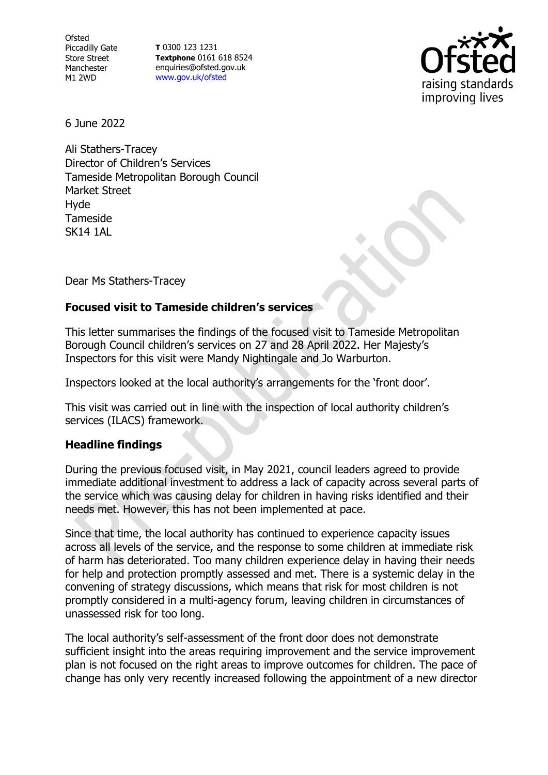**Ofsted** Piccadilly Gate Store Street Manchester M1 2WD

**T** 0300 123 1231 **Textphone** 0161 618 8524 enquiries@ofsted.gov.uk [www.gov.uk/ofsted](http://www.gov.uk/ofsted)



6 June 2022

Ali Stathers-Tracey Director of Children's Services Tameside Metropolitan Borough Council Market Street Hyde Tameside **SK14 1AL** 

Dear Ms Stathers-Tracey

# **Focused visit to Tameside children's services**

This letter summarises the findings of the focused visit to Tameside Metropolitan Borough Council children's services on 27 and 28 April 2022. Her Majesty's Inspectors for this visit were Mandy Nightingale and Jo Warburton.

Inspectors looked at the local authority's arrangements for the 'front door'.

This visit was carried out in line with the inspection of local authority children's services (ILACS) framework.

# **Headline findings**

During the previous focused visit, in May 2021, council leaders agreed to provide immediate additional investment to address a lack of capacity across several parts of the service which was causing delay for children in having risks identified and their needs met. However, this has not been implemented at pace.

Since that time, the local authority has continued to experience capacity issues across all levels of the service, and the response to some children at immediate risk of harm has deteriorated. Too many children experience delay in having their needs for help and protection promptly assessed and met. There is a systemic delay in the convening of strategy discussions, which means that risk for most children is not promptly considered in a multi-agency forum, leaving children in circumstances of unassessed risk for too long.

The local authority's self-assessment of the front door does not demonstrate sufficient insight into the areas requiring improvement and the service improvement plan is not focused on the right areas to improve outcomes for children. The pace of change has only very recently increased following the appointment of a new director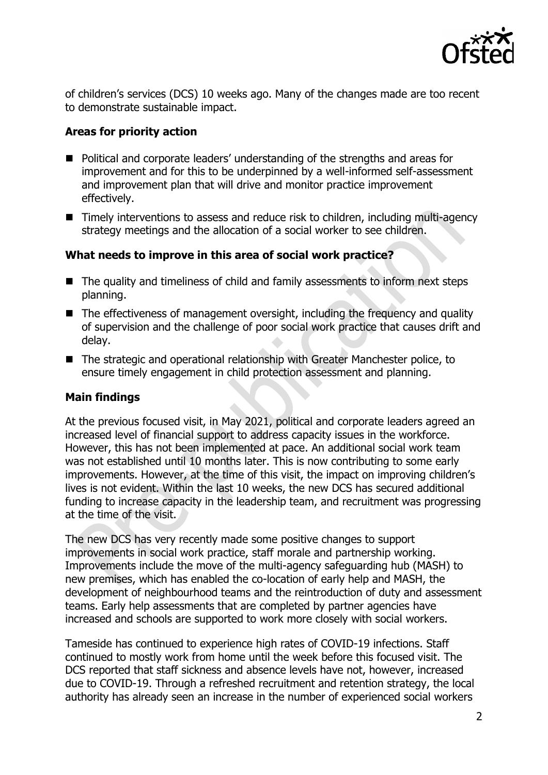

of children's services (DCS) 10 weeks ago. Many of the changes made are too recent to demonstrate sustainable impact.

## **Areas for priority action**

- Political and corporate leaders' understanding of the strengths and areas for improvement and for this to be underpinned by a well-informed self-assessment and improvement plan that will drive and monitor practice improvement effectively.
- Timely interventions to assess and reduce risk to children, including multi-agency strategy meetings and the allocation of a social worker to see children.

### **What needs to improve in this area of social work practice?**

- The quality and timeliness of child and family assessments to inform next steps planning.
- The effectiveness of management oversight, including the frequency and quality of supervision and the challenge of poor social work practice that causes drift and delay.
- The strategic and operational relationship with Greater Manchester police, to ensure timely engagement in child protection assessment and planning.

#### **Main findings**

At the previous focused visit, in May 2021, political and corporate leaders agreed an increased level of financial support to address capacity issues in the workforce. However, this has not been implemented at pace. An additional social work team was not established until 10 months later. This is now contributing to some early improvements. However, at the time of this visit, the impact on improving children's lives is not evident. Within the last 10 weeks, the new DCS has secured additional funding to increase capacity in the leadership team, and recruitment was progressing at the time of the visit.

The new DCS has very recently made some positive changes to support improvements in social work practice, staff morale and partnership working. Improvements include the move of the multi-agency safeguarding hub (MASH) to new premises, which has enabled the co-location of early help and MASH, the development of neighbourhood teams and the reintroduction of duty and assessment teams. Early help assessments that are completed by partner agencies have increased and schools are supported to work more closely with social workers.

Tameside has continued to experience high rates of COVID-19 infections. Staff continued to mostly work from home until the week before this focused visit. The DCS reported that staff sickness and absence levels have not, however, increased due to COVID-19. Through a refreshed recruitment and retention strategy, the local authority has already seen an increase in the number of experienced social workers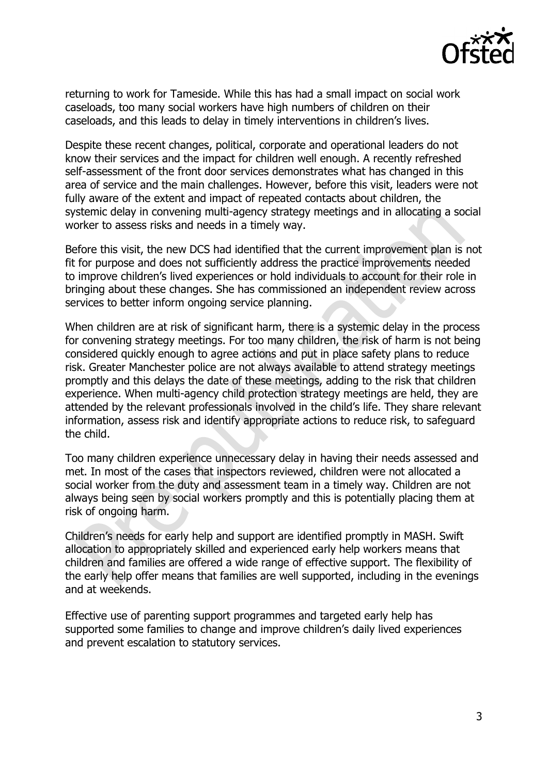

returning to work for Tameside. While this has had a small impact on social work caseloads, too many social workers have high numbers of children on their caseloads, and this leads to delay in timely interventions in children's lives.

Despite these recent changes, political, corporate and operational leaders do not know their services and the impact for children well enough. A recently refreshed self-assessment of the front door services demonstrates what has changed in this area of service and the main challenges. However, before this visit, leaders were not fully aware of the extent and impact of repeated contacts about children, the systemic delay in convening multi-agency strategy meetings and in allocating a social worker to assess risks and needs in a timely way.

Before this visit, the new DCS had identified that the current improvement plan is not fit for purpose and does not sufficiently address the practice improvements needed to improve children's lived experiences or hold individuals to account for their role in bringing about these changes. She has commissioned an independent review across services to better inform ongoing service planning.

When children are at risk of significant harm, there is a systemic delay in the process for convening strategy meetings. For too many children, the risk of harm is not being considered quickly enough to agree actions and put in place safety plans to reduce risk. Greater Manchester police are not always available to attend strategy meetings promptly and this delays the date of these meetings, adding to the risk that children experience. When multi-agency child protection strategy meetings are held, they are attended by the relevant professionals involved in the child's life. They share relevant information, assess risk and identify appropriate actions to reduce risk, to safeguard the child.

Too many children experience unnecessary delay in having their needs assessed and met. In most of the cases that inspectors reviewed, children were not allocated a social worker from the duty and assessment team in a timely way. Children are not always being seen by social workers promptly and this is potentially placing them at risk of ongoing harm.

Children's needs for early help and support are identified promptly in MASH. Swift allocation to appropriately skilled and experienced early help workers means that children and families are offered a wide range of effective support. The flexibility of the early help offer means that families are well supported, including in the evenings and at weekends.

Effective use of parenting support programmes and targeted early help has supported some families to change and improve children's daily lived experiences and prevent escalation to statutory services.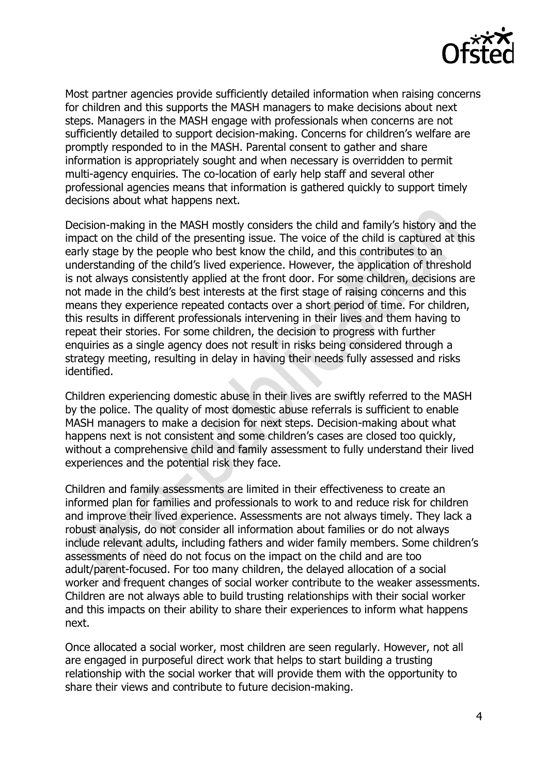

Most partner agencies provide sufficiently detailed information when raising concerns for children and this supports the MASH managers to make decisions about next steps. Managers in the MASH engage with professionals when concerns are not sufficiently detailed to support decision-making. Concerns for children's welfare are promptly responded to in the MASH. Parental consent to gather and share information is appropriately sought and when necessary is overridden to permit multi-agency enquiries. The co-location of early help staff and several other professional agencies means that information is gathered quickly to support timely decisions about what happens next.

Decision-making in the MASH mostly considers the child and family's history and the impact on the child of the presenting issue. The voice of the child is captured at this early stage by the people who best know the child, and this contributes to an understanding of the child's lived experience. However, the application of threshold is not always consistently applied at the front door. For some children, decisions are not made in the child's best interests at the first stage of raising concerns and this means they experience repeated contacts over a short period of time. For children, this results in different professionals intervening in their lives and them having to repeat their stories. For some children, the decision to progress with further enquiries as a single agency does not result in risks being considered through a strategy meeting, resulting in delay in having their needs fully assessed and risks identified.

Children experiencing domestic abuse in their lives are swiftly referred to the MASH by the police. The quality of most domestic abuse referrals is sufficient to enable MASH managers to make a decision for next steps. Decision-making about what happens next is not consistent and some children's cases are closed too quickly, without a comprehensive child and family assessment to fully understand their lived experiences and the potential risk they face.

Children and family assessments are limited in their effectiveness to create an informed plan for families and professionals to work to and reduce risk for children and improve their lived experience. Assessments are not always timely. They lack a robust analysis, do not consider all information about families or do not always include relevant adults, including fathers and wider family members. Some children's assessments of need do not focus on the impact on the child and are too adult/parent-focused. For too many children, the delayed allocation of a social worker and frequent changes of social worker contribute to the weaker assessments. Children are not always able to build trusting relationships with their social worker and this impacts on their ability to share their experiences to inform what happens next.

Once allocated a social worker, most children are seen regularly. However, not all are engaged in purposeful direct work that helps to start building a trusting relationship with the social worker that will provide them with the opportunity to share their views and contribute to future decision-making.